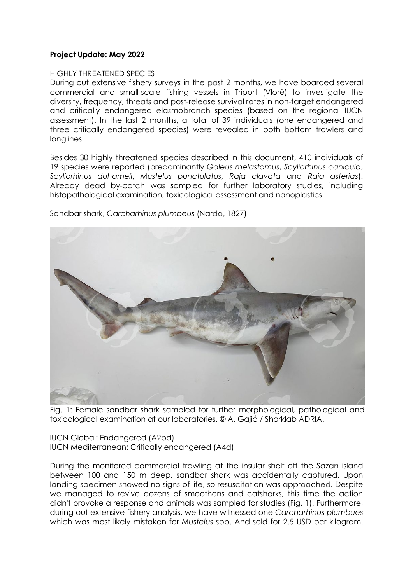## **Project Update: May 2022**

## HIGHLY THREATENED SPECIES

During out extensive fishery surveys in the past 2 months, we have boarded several commercial and small-scale fishing vessels in Triport (Vlorë) to investigate the diversity, frequency, threats and post-release survival rates in non-target endangered and critically endangered elasmobranch species (based on the regional IUCN assessment). In the last 2 months, a total of 39 individuals (one endangered and three critically endangered species) were revealed in both bottom trawlers and longlines.

Besides 30 highly threatened species described in this document, 410 individuals of 19 species were reported (predominantly *Galeus melastomus*, *Scyliorhinus canicula*, *Scyliorhinus duhameli*, *Mustelus punctulatus*, *Raja clavata* and *Raja asterias*). Already dead by-catch was sampled for further laboratory studies, including histopathological examination, toxicological assessment and nanoplastics.



Sandbar shark, *Carcharhinus plumbeus* (Nardo, 1827)

Fig. 1: Female sandbar shark sampled for further morphological, pathological and toxicological examination at our laboratories. © A. Gajić / Sharklab ADRIA.

IUCN Global: Endangered (A2bd) IUCN Mediterranean: Critically endangered (A4d)

During the monitored commercial trawling at the insular shelf off the Sazan island between 100 and 150 m deep, sandbar shark was accidentally captured. Upon landing specimen showed no signs of life, so resuscitation was approached. Despite we managed to revive dozens of smoothens and catsharks, this time the action didn't provoke a response and animals was sampled for studies (Fig. 1). Furthermore, during out extensive fishery analysis, we have witnessed one *Carcharhinus plumbues*  which was most likely mistaken for *Mustelus* spp. And sold for 2.5 USD per kilogram.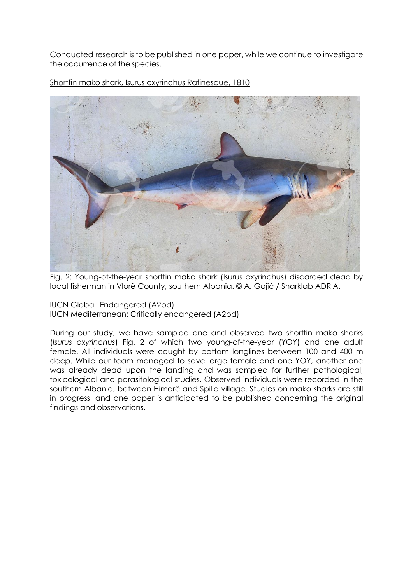Conducted research is to be published in one paper, while we continue to investigate the occurrence of the species.



Shortfin mako shark, Isurus oxyrinchus Rafinesque, 1810

Fig. 2: Young-of-the-year shortfin mako shark (Isurus oxyrinchus) discarded dead by local fisherman in Vlorë County, southern Albania. © A. Gajić / Sharklab ADRIA.

IUCN Global: Endangered (A2bd) IUCN Mediterranean: Critically endangered (A2bd)

During our study, we have sampled one and observed two shortfin mako sharks (*Isurus oxyrinchus*) Fig. 2 of which two young-of-the-year (YOY) and one adult female. All individuals were caught by bottom longlines between 100 and 400 m deep. While our team managed to save large female and one YOY, another one was already dead upon the landing and was sampled for further pathological, toxicological and parasitological studies. Observed individuals were recorded in the southern Albania, between Himarë and Spille village. Studies on mako sharks are still in progress, and one paper is anticipated to be published concerning the original findings and observations.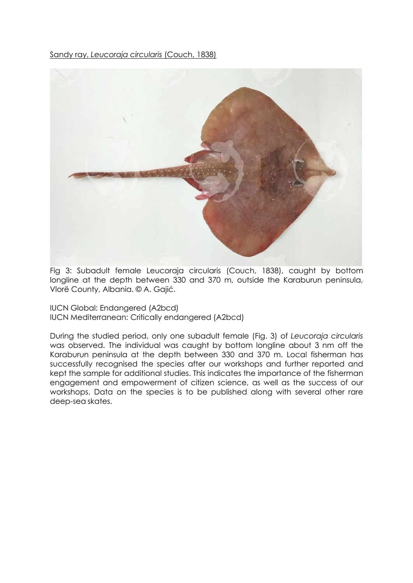Sandy ray, *Leucoraja circularis* (Couch, 1838)



Fig 3: Subadult female Leucoraja circularis (Couch, 1838), caught by bottom longline at the depth between 330 and 370 m, outside the Karaburun peninsula, Vlorë County, Albania. © A. Gajić.

IUCN Global: Endangered (A2bcd) IUCN Mediterranean: Critically endangered (A2bcd)

During the studied period, only one subadult female (Fig. 3) of *Leucoraja circularis*  was observed. The individual was caught by bottom longline about 3 nm off the Karaburun peninsula at the depth between 330 and 370 m. Local fisherman has successfully recognised the species after our workshops and further reported and kept the sample for additional studies. This indicates the importance of the fisherman engagement and empowerment of citizen science, as well as the success of our workshops. Data on the species is to be published along with several other rare deep-sea skates.